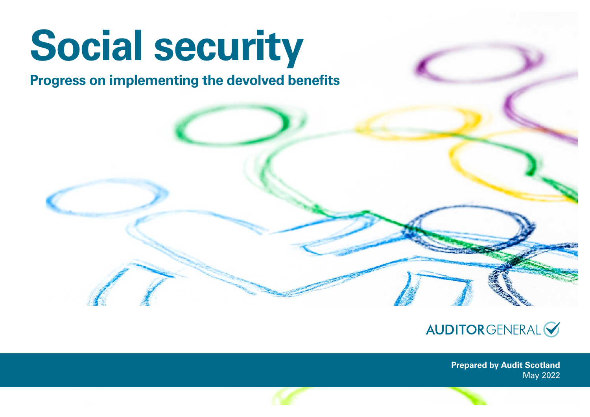# **Social security**

# **Progress on implementing the devolved benefits**



**Prepared by Audit Scotland** May 2022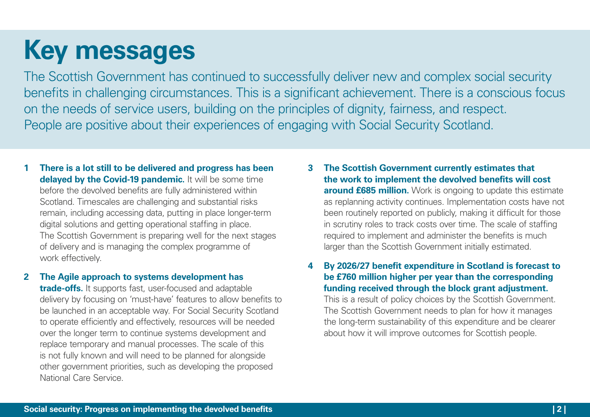# **Key messages**

The Scottish Government has continued to successfully deliver new and complex social security benefits in challenging circumstances. This is a significant achievement. There is a conscious focus on the needs of service users, building on the principles of dignity, fairness, and respect. People are positive about their experiences of engaging with Social Security Scotland.

- **1 There is a lot still to be delivered and progress has been delayed by the Covid-19 pandemic.** It will be some time before the devolved benefits are fully administered within Scotland. Timescales are challenging and substantial risks remain, including accessing data, putting in place longer-term digital solutions and getting operational staffing in place. The Scottish Government is preparing well for the next stages of delivery and is managing the complex programme of work effectively.
- **2 The Agile approach to systems development has**

**trade-offs.** It supports fast, user-focused and adaptable delivery by focusing on 'must-have' features to allow benefits to be launched in an acceptable way. For Social Security Scotland to operate efficiently and effectively, resources will be needed over the longer term to continue systems development and replace temporary and manual processes. The scale of this is not fully known and will need to be planned for alongside other government priorities, such as developing the proposed National Care Service.

**3 The Scottish Government currently estimates that the work to implement the devolved benefits will cost around £685 million.** Work is ongoing to update this estimate as replanning activity continues. Implementation costs have not been routinely reported on publicly, making it difficult for those in scrutiny roles to track costs over time. The scale of staffing required to implement and administer the benefits is much larger than the Scottish Government initially estimated.

**4 By 2026/27 benefit expenditure in Scotland is forecast to be £760 million higher per year than the corresponding funding received through the block grant adjustment.**

This is a result of policy choices by the Scottish Government. The Scottish Government needs to plan for how it manages the long-term sustainability of this expenditure and be clearer about how it will improve outcomes for Scottish people.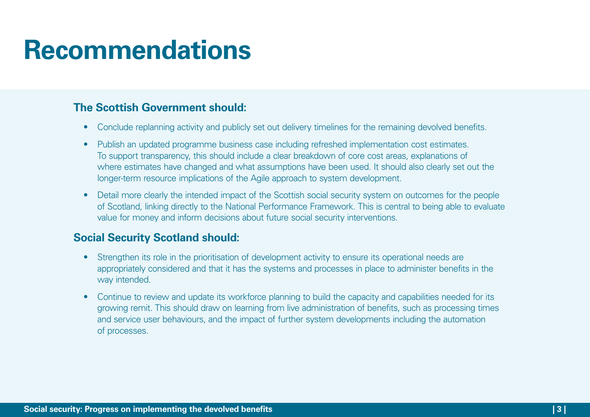# **Recommendations**

### **The Scottish Government should:**

- Conclude replanning activity and publicly set out delivery timelines for the remaining devolved benefits.
- Publish an updated programme business case including refreshed implementation cost estimates. To support transparency, this should include a clear breakdown of core cost areas, explanations of where estimates have changed and what assumptions have been used. It should also clearly set out the longer-term resource implications of the Agile approach to system development.
- Detail more clearly the intended impact of the Scottish social security system on outcomes for the people of Scotland, linking directly to the National Performance Framework. This is central to being able to evaluate value for money and inform decisions about future social security interventions.

#### **Social Security Scotland should:**

- Strengthen its role in the prioritisation of development activity to ensure its operational needs are appropriately considered and that it has the systems and processes in place to administer benefits in the way intended.
- Continue to review and update its workforce planning to build the capacity and capabilities needed for its growing remit. This should draw on learning from live administration of benefits, such as processing times and service user behaviours, and the impact of further system developments including the automation of processes.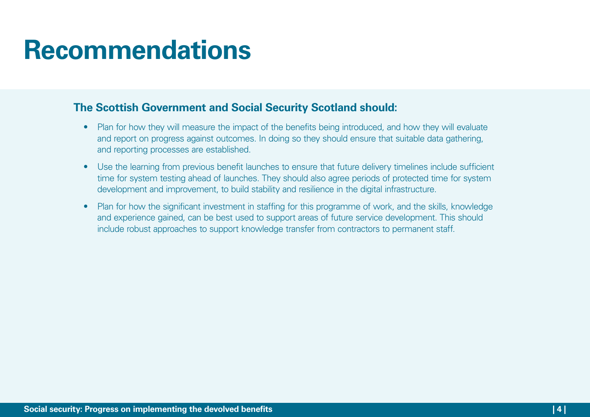# **Recommendations**

#### **The Scottish Government and Social Security Scotland should:**

- Plan for how they will measure the impact of the benefits being introduced, and how they will evaluate and report on progress against outcomes. In doing so they should ensure that suitable data gathering, and reporting processes are established.
- Use the learning from previous benefit launches to ensure that future delivery timelines include sufficient time for system testing ahead of launches. They should also agree periods of protected time for system development and improvement, to build stability and resilience in the digital infrastructure.
- Plan for how the significant investment in staffing for this programme of work, and the skills, knowledge and experience gained, can be best used to support areas of future service development. This should include robust approaches to support knowledge transfer from contractors to permanent staff.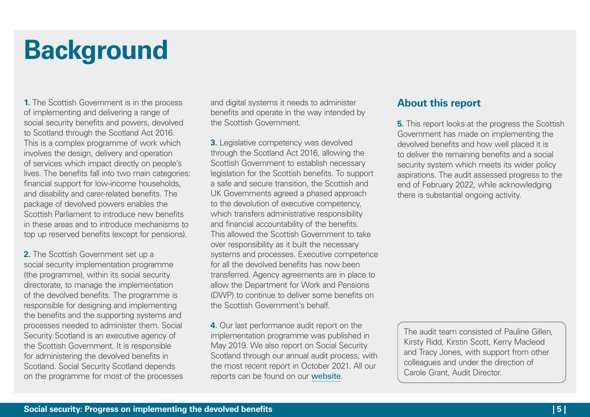# **Background**

**1.** The Scottish Government is in the process of implementing and delivering a range of social security benefits and powers, devolved to Scotland through the Scotland Act 2016. This is a complex programme of work which involves the design, delivery and operation of services which impact directly on people's lives. The benefits fall into two main categories: financial support for low-income households, and disability and carer-related benefits. The package of devolved powers enables the Scottish Parliament to introduce new benefits in these areas and to introduce mechanisms to top up reserved benefits (except for pensions).

**2.** The Scottish Government set up a social security implementation programme (the programme), within its social security directorate, to manage the implementation of the devolved benefits. The programme is responsible for designing and implementing the benefits and the supporting systems and processes needed to administer them. Social Security Scotland is an executive agency of the Scottish Government. It is responsible for administering the devolved benefits in Scotland. Social Security Scotland depends on the programme for most of the processes and digital systems it needs to administer benefits and operate in the way intended by the Scottish Government.

**3.** Legislative competency was devolved through the Scotland Act 2016, allowing the Scottish Government to establish necessary legislation for the Scottish benefits. To support a safe and secure transition, the Scottish and UK Governments agreed a phased approach to the devolution of executive competency, which transfers administrative responsibility and financial accountability of the benefits. This allowed the Scottish Government to take over responsibility as it built the necessary systems and processes. Executive competence for all the devolved benefits has now been transferred. Agency agreements are in place to allow the Department for Work and Pensions (DWP) to continue to deliver some benefits on the Scottish Government's behalf.

**4.** Our last performance audit report on the implementation programme was published in May 2019. We also report on Social Security Scotland through our annual audit process, with the most recent report in October 2021. All our reports can be found on our [website](https://www.audit-scotland.gov.uk/).

#### **About this report**

**5.** This report looks at the progress the Scottish Government has made on implementing the devolved benefits and how well placed it is to deliver the remaining benefits and a social security system which meets its wider policy aspirations. The audit assessed progress to the end of February 2022, while acknowledging there is substantial ongoing activity.

The audit team consisted of Pauline Gillen, Kirsty Ridd, Kirstin Scott, Kerry Macleod and Tracy Jones, with support from other colleagues and under the direction of Carole Grant, Audit Director.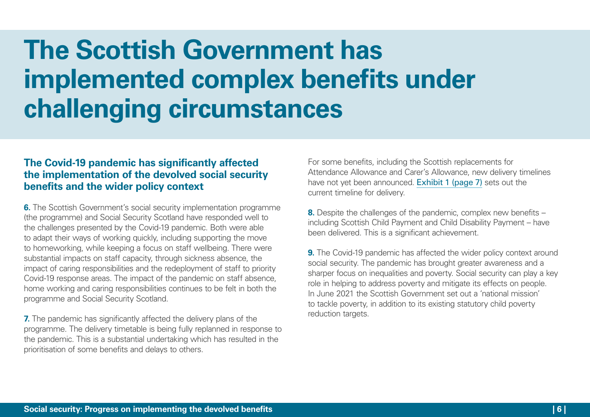# **The Scottish Government has implemented complex benefits under challenging circumstances**

#### **The Covid-19 pandemic has significantly affected the implementation of the devolved social security benefits and the wider policy context**

**6.** The Scottish Government's social security implementation programme (the programme) and Social Security Scotland have responded well to the challenges presented by the Covid‑19 pandemic. Both were able to adapt their ways of working quickly, including supporting the move to homeworking, while keeping a focus on staff wellbeing. There were substantial impacts on staff capacity, through sickness absence, the impact of caring responsibilities and the redeployment of staff to priority Covid-19 response areas. The impact of the pandemic on staff absence, home working and caring responsibilities continues to be felt in both the programme and Social Security Scotland.

**7.** The pandemic has significantly affected the delivery plans of the programme. The delivery timetable is being fully replanned in response to the pandemic. This is a substantial undertaking which has resulted in the prioritisation of some benefits and delays to others.

For some benefits, including the Scottish replacements for Attendance Allowance and Carer's Allowance, new delivery timelines have not yet been announced. [Exhibit 1 \(page 7\)](#page-6-0) sets out the current timeline for delivery.

**8.** Despite the challenges of the pandemic, complex new benefits – including Scottish Child Payment and Child Disability Payment – have been delivered. This is a significant achievement.

**9.** The Covid-19 pandemic has affected the wider policy context around social security. The pandemic has brought greater awareness and a sharper focus on inequalities and poverty. Social security can play a key role in helping to address poverty and mitigate its effects on people. In June 2021 the Scottish Government set out a 'national mission' to tackle poverty, in addition to its existing statutory child poverty reduction targets.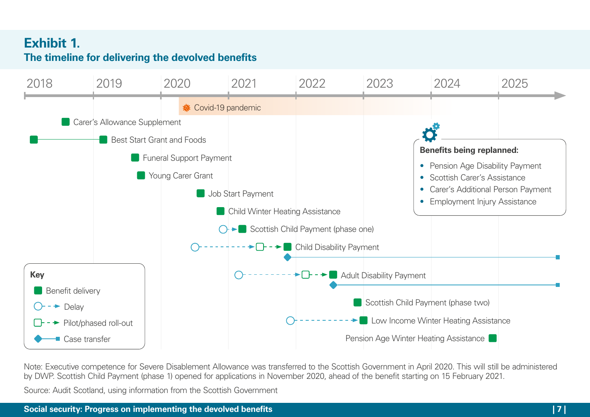### <span id="page-6-0"></span>**Exhibit 1. The timeline for delivering the devolved benefits**



Note: Executive competence for Severe Disablement Allowance was transferred to the Scottish Government in April 2020. This will still be administered by DWP. Scottish Child Payment (phase 1) opened for applications in November 2020, ahead of the benefit starting on 15 February 2021.

Source: Audit Scotland, using information from the Scottish Government

#### **Social security: Progress on implementing the devolved benefits | 7 |**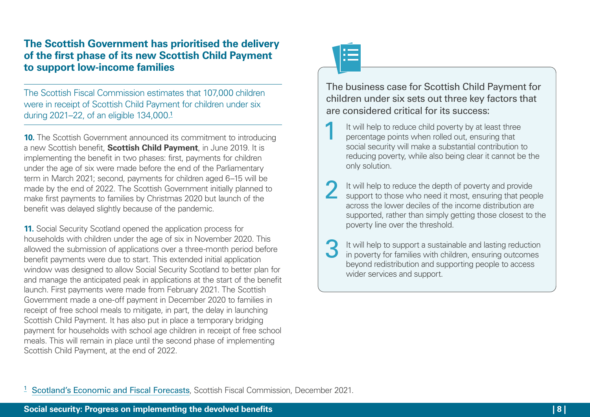#### **The Scottish Government has prioritised the delivery of the first phase of its new Scottish Child Payment to support low-income families**

The Scottish Fiscal Commission estimates that 107,000 children were in receipt of Scottish Child Payment for children under six during 2021–22, of an eligible 134,000.<sup>1</sup>

**10.** The Scottish Government announced its commitment to introducing a new Scottish benefit, **Scottish Child Payment**, in June 2019. It is implementing the benefit in two phases: first, payments for children under the age of six were made before the end of the Parliamentary term in March 2021; second, payments for children aged 6–15 will be made by the end of 2022. The Scottish Government initially planned to make first payments to families by Christmas 2020 but launch of the benefit was delayed slightly because of the pandemic.

**11.** Social Security Scotland opened the application process for households with children under the age of six in November 2020. This allowed the submission of applications over a three-month period before benefit payments were due to start. This extended initial application window was designed to allow Social Security Scotland to better plan for and manage the anticipated peak in applications at the start of the benefit launch. First payments were made from February 2021. The Scottish Government made a one-off payment in December 2020 to families in receipt of free school meals to mitigate, in part, the delay in launching Scottish Child Payment. It has also put in place a temporary bridging payment for households with school age children in receipt of free school meals. This will remain in place until the second phase of implementing Scottish Child Payment, at the end of 2022.



The business case for Scottish Child Payment for children under six sets out three key factors that are considered critical for its success:

It will help to reduce child poverty by at least three<br>percentage points when rolled out, ensuring that social security will make a substantial contribution to reducing poverty, while also being clear it cannot be the only solution.

2 It will help to reduce the depth of poverty and provide support to those who need it most, ensuring that people across the lower deciles of the income distribution are supported, rather than simply getting those closest to the poverty line over the threshold.

3 It will help to support a sustainable and lasting reduction in poverty for families with children, ensuring outcomes beyond redistribution and supporting people to access wider services and support.

<sup>1</sup> [Scotland's Economic and Fiscal Forecasts](https://www.fiscalcommission.scot/publications/scotlands-economic-and-fiscal-forecasts-december-2021/), Scottish Fiscal Commission, December 2021.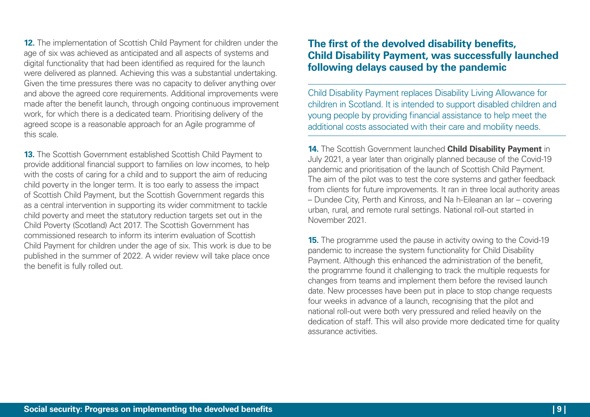**12.** The implementation of Scottish Child Payment for children under the age of six was achieved as anticipated and all aspects of systems and digital functionality that had been identified as required for the launch were delivered as planned. Achieving this was a substantial undertaking. Given the time pressures there was no capacity to deliver anything over and above the agreed core requirements. Additional improvements were made after the benefit launch, through ongoing continuous improvement work, for which there is a dedicated team. Prioritising delivery of the agreed scope is a reasonable approach for an Agile programme of this scale.

**13.** The Scottish Government established Scottish Child Payment to provide additional financial support to families on low incomes, to help with the costs of caring for a child and to support the aim of reducing child poverty in the longer term. It is too early to assess the impact of Scottish Child Payment, but the Scottish Government regards this as a central intervention in supporting its wider commitment to tackle child poverty and meet the statutory reduction targets set out in the Child Poverty (Scotland) Act 2017. The Scottish Government has commissioned research to inform its interim evaluation of Scottish Child Payment for children under the age of six. This work is due to be published in the summer of 2022. A wider review will take place once the benefit is fully rolled out.

#### **The first of the devolved disability benefits, Child Disability Payment, was successfully launched following delays caused by the pandemic**

Child Disability Payment replaces Disability Living Allowance for children in Scotland. It is intended to support disabled children and young people by providing financial assistance to help meet the additional costs associated with their care and mobility needs.

**14.** The Scottish Government launched **Child Disability Payment** in July 2021, a year later than originally planned because of the Covid-19 pandemic and prioritisation of the launch of Scottish Child Payment. The aim of the pilot was to test the core systems and gather feedback from clients for future improvements. It ran in three local authority areas – Dundee City, Perth and Kinross, and Na h-Eileanan an Iar – covering urban, rural, and remote rural settings. National roll-out started in November 2021.

**15.** The programme used the pause in activity owing to the Covid-19 pandemic to increase the system functionality for Child Disability Payment. Although this enhanced the administration of the benefit, the programme found it challenging to track the multiple requests for changes from teams and implement them before the revised launch date. New processes have been put in place to stop change requests four weeks in advance of a launch, recognising that the pilot and national roll-out were both very pressured and relied heavily on the dedication of staff. This will also provide more dedicated time for quality assurance activities.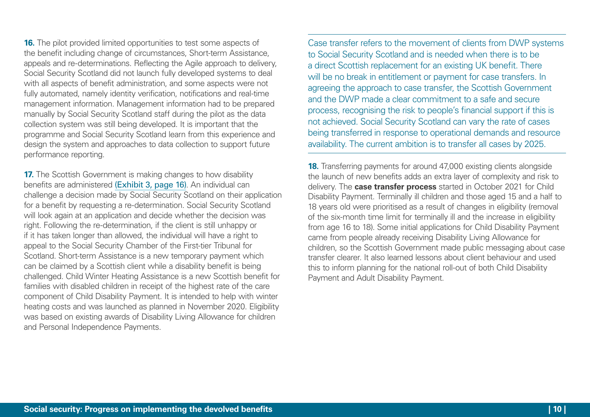**16.** The pilot provided limited opportunities to test some aspects of the benefit including change of circumstances, Short-term Assistance, appeals and re-determinations. Reflecting the Agile approach to delivery, Social Security Scotland did not launch fully developed systems to deal with all aspects of benefit administration, and some aspects were not fully automated, namely identity verification, notifications and real-time management information. Management information had to be prepared manually by Social Security Scotland staff during the pilot as the data collection system was still being developed. It is important that the programme and Social Security Scotland learn from this experience and design the system and approaches to data collection to support future performance reporting.

**17.** The Scottish Government is making changes to how disability benefits are administered [\(Exhibit 3, page 16\)](#page-15-0). An individual can challenge a decision made by Social Security Scotland on their application for a benefit by requesting a re-determination. Social Security Scotland will look again at an application and decide whether the decision was right. Following the re-determination, if the client is still unhappy or if it has taken longer than allowed, the individual will have a right to appeal to the Social Security Chamber of the First-tier Tribunal for Scotland. Short-term Assistance is a new temporary payment which can be claimed by a Scottish client while a disability benefit is being challenged. Child Winter Heating Assistance is a new Scottish benefit for families with disabled children in receipt of the highest rate of the care component of Child Disability Payment. It is intended to help with winter heating costs and was launched as planned in November 2020. Eligibility was based on existing awards of Disability Living Allowance for children and Personal Independence Payments.

Case transfer refers to the movement of clients from DWP systems to Social Security Scotland and is needed when there is to be a direct Scottish replacement for an existing UK benefit. There will be no break in entitlement or payment for case transfers. In agreeing the approach to case transfer, the Scottish Government and the DWP made a clear commitment to a safe and secure process, recognising the risk to people's financial support if this is not achieved. Social Security Scotland can vary the rate of cases being transferred in response to operational demands and resource availability. The current ambition is to transfer all cases by 2025.

**18.** Transferring payments for around 47,000 existing clients alongside the launch of new benefits adds an extra layer of complexity and risk to delivery. The **case transfer process** started in October 2021 for Child Disability Payment. Terminally ill children and those aged 15 and a half to 18 years old were prioritised as a result of changes in eligibility (removal of the six-month time limit for terminally ill and the increase in eligibility from age 16 to 18). Some initial applications for Child Disability Payment came from people already receiving Disability Living Allowance for children, so the Scottish Government made public messaging about case transfer clearer. It also learned lessons about client behaviour and used this to inform planning for the national roll-out of both Child Disability Payment and Adult Disability Payment.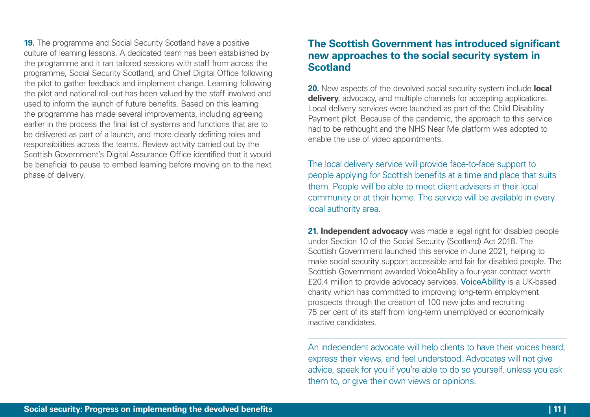**19.** The programme and Social Security Scotland have a positive culture of learning lessons. A dedicated team has been established by the programme and it ran tailored sessions with staff from across the programme, Social Security Scotland, and Chief Digital Office following the pilot to gather feedback and implement change. Learning following the pilot and national roll-out has been valued by the staff involved and used to inform the launch of future benefits. Based on this learning the programme has made several improvements, including agreeing earlier in the process the final list of systems and functions that are to be delivered as part of a launch, and more clearly defining roles and responsibilities across the teams. Review activity carried out by the Scottish Government's Digital Assurance Office identified that it would be beneficial to pause to embed learning before moving on to the next phase of delivery.

#### **The Scottish Government has introduced significant new approaches to the social security system in Scotland**

**20.** New aspects of the devolved social security system include **local delivery**, advocacy, and multiple channels for accepting applications. Local delivery services were launched as part of the Child Disability Payment pilot. Because of the pandemic, the approach to this service had to be rethought and the NHS Near Me platform was adopted to enable the use of video appointments.

The local delivery service will provide face-to-face support to people applying for Scottish benefits at a time and place that suits them. People will be able to meet client advisers in their local community or at their home. The service will be available in every local authority area.

**21. Independent advocacy** was made a legal right for disabled people under Section 10 of the Social Security (Scotland) Act 2018. The Scottish Government launched this service in June 2021, helping to make social security support accessible and fair for disabled people. The Scottish Government awarded VoiceAbility a four-year contract worth £20.4 million to provide advocacy services. [VoiceAbility](https://www.voiceability.org/) is a UK-based charity which has committed to improving long-term employment prospects through the creation of 100 new jobs and recruiting 75 per cent of its staff from long-term unemployed or economically inactive candidates.

An independent advocate will help clients to have their voices heard, express their views, and feel understood. Advocates will not give advice, speak for you if you're able to do so yourself, unless you ask them to, or give their own views or opinions.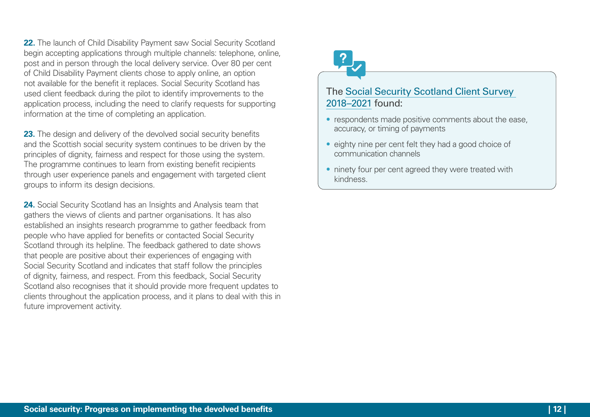**22.** The launch of Child Disability Payment saw Social Security Scotland begin accepting applications through multiple channels: telephone, online, post and in person through the local delivery service. Over 80 per cent of Child Disability Payment clients chose to apply online, an option not available for the benefit it replaces. Social Security Scotland has used client feedback during the pilot to identify improvements to the application process, including the need to clarify requests for supporting information at the time of completing an application.

**23.** The design and delivery of the devolved social security benefits and the Scottish social security system continues to be driven by the principles of dignity, fairness and respect for those using the system. The programme continues to learn from existing benefit recipients through user experience panels and engagement with targeted client groups to inform its design decisions.

**24.** Social Security Scotland has an Insights and Analysis team that gathers the views of clients and partner organisations. It has also established an insights research programme to gather feedback from people who have applied for benefits or contacted Social Security Scotland through its helpline. The feedback gathered to date shows that people are positive about their experiences of engaging with Social Security Scotland and indicates that staff follow the principles of dignity, fairness, and respect. From this feedback, Social Security Scotland also recognises that it should provide more frequent updates to clients throughout the application process, and it plans to deal with this in future improvement activity.

#### The [Social Security Scotland Client Survey](https://www.socialsecurity.gov.scot/reporting/publications/client-survey-2018-2021)  [2018–2021](https://www.socialsecurity.gov.scot/reporting/publications/client-survey-2018-2021) found:

- respondents made positive comments about the ease, accuracy, or timing of payments
- eighty nine per cent felt they had a good choice of communication channels
- ninety four per cent agreed they were treated with kindness.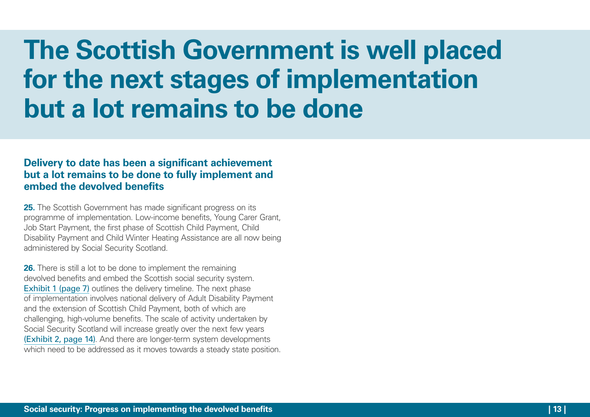# **The Scottish Government is well placed for the next stages of implementation but a lot remains to be done**

#### **Delivery to date has been a significant achievement but a lot remains to be done to fully implement and embed the devolved benefits**

**25.** The Scottish Government has made significant progress on its programme of implementation. Low-income benefits, Young Carer Grant, Job Start Payment, the first phase of Scottish Child Payment, Child Disability Payment and Child Winter Heating Assistance are all now being administered by Social Security Scotland.

**26.** There is still a lot to be done to implement the remaining devolved benefits and embed the Scottish social security system. [Exhibit 1 \(page 7\)](#page-6-0) outlines the delivery timeline. The next phase of implementation involves national delivery of Adult Disability Payment and the extension of Scottish Child Payment, both of which are challenging, high-volume benefits. The scale of activity undertaken by Social Security Scotland will increase greatly over the next few years [\(Exhibit 2, page 14\)](#page-13-0). And there are longer-term system developments which need to be addressed as it moves towards a steady state position.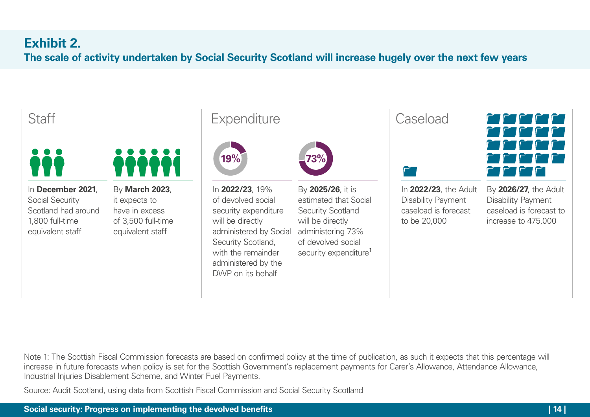# <span id="page-13-0"></span>**Exhibit 2.**

**The scale of activity undertaken by Social Security Scotland will increase hugely over the next few years**

# **Staff**



In **December 2021**, Social Security Scotland had around 1,800 full-time equivalent staff





In **2022/23**, 19% of devolved social security expenditure will be directly administered by Social Security Scotland, with the remainder administered by the DWP on its behalf

By **2025/26**, it is estimated that Social Security Scotland will be directly administering 73% of devolved social security expenditure<sup>1</sup>

Caseload



In **2022/23**, the Adult Disability Payment caseload is forecast to be 20,000



By **2026/27**, the Adult Disability Payment caseload is forecast to increase to 475,000

Note 1: The Scottish Fiscal Commission forecasts are based on confirmed policy at the time of publication, as such it expects that this percentage will increase in future forecasts when policy is set for the Scottish Government's replacement payments for Carer's Allowance, Attendance Allowance, Industrial Injuries Disablement Scheme, and Winter Fuel Payments.

Source: Audit Scotland, using data from Scottish Fiscal Commission and Social Security Scotland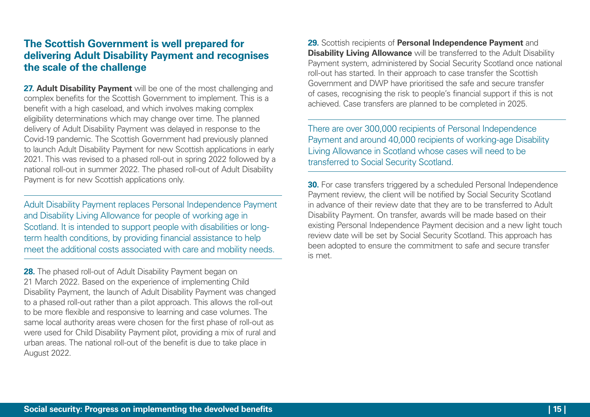#### **The Scottish Government is well prepared for delivering Adult Disability Payment and recognises the scale of the challenge**

**27. Adult Disability Payment** will be one of the most challenging and complex benefits for the Scottish Government to implement. This is a benefit with a high caseload, and which involves making complex eligibility determinations which may change over time. The planned delivery of Adult Disability Payment was delayed in response to the Covid-19 pandemic. The Scottish Government had previously planned to launch Adult Disability Payment for new Scottish applications in early 2021. This was revised to a phased roll-out in spring 2022 followed by a national roll-out in summer 2022. The phased roll-out of Adult Disability Payment is for new Scottish applications only.

Adult Disability Payment replaces Personal Independence Payment and Disability Living Allowance for people of working age in Scotland. It is intended to support people with disabilities or longterm health conditions, by providing financial assistance to help meet the additional costs associated with care and mobility needs.

**28.** The phased roll-out of Adult Disability Payment began on 21 March 2022. Based on the experience of implementing Child Disability Payment, the launch of Adult Disability Payment was changed to a phased roll-out rather than a pilot approach. This allows the roll-out to be more flexible and responsive to learning and case volumes. The same local authority areas were chosen for the first phase of roll-out as were used for Child Disability Payment pilot, providing a mix of rural and urban areas. The national roll-out of the benefit is due to take place in August 2022.

**29.** Scottish recipients of **Personal Independence Payment** and **Disability Living Allowance** will be transferred to the Adult Disability Payment system, administered by Social Security Scotland once national roll-out has started. In their approach to case transfer the Scottish Government and DWP have prioritised the safe and secure transfer of cases, recognising the risk to people's financial support if this is not achieved. Case transfers are planned to be completed in 2025.

There are over 300,000 recipients of Personal Independence Payment and around 40,000 recipients of working-age Disability Living Allowance in Scotland whose cases will need to be transferred to Social Security Scotland.

**30.** For case transfers triggered by a scheduled Personal Independence Payment review, the client will be notified by Social Security Scotland in advance of their review date that they are to be transferred to Adult Disability Payment. On transfer, awards will be made based on their existing Personal Independence Payment decision and a new light touch review date will be set by Social Security Scotland. This approach has been adopted to ensure the commitment to safe and secure transfer is met.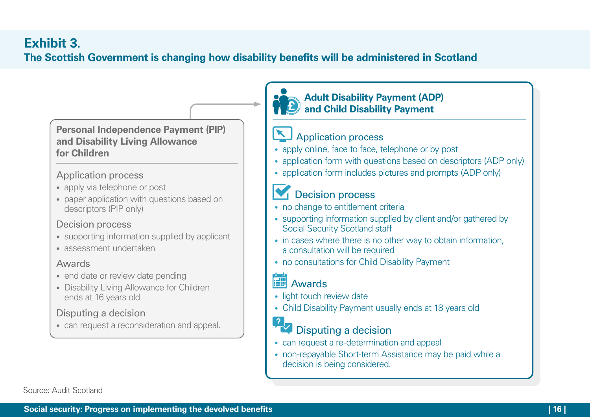### <span id="page-15-0"></span>**Exhibit 3. The Scottish Government is changing how disability benefits will be administered in Scotland**

#### **Personal Independence Payment (PIP) and Disability Living Allowance for Children**

#### Application process

- apply via telephone or post
- paper application with questions based on descriptors (PIP only)

### Decision process

- supporting information supplied by applicant
- assessment undertaken

#### Awards

- end date or review date pending
- Disability Living Allowance for Children ends at 16 years old

### Disputing a decision

• can request a reconsideration and appeal.



### Application process

- apply online, face to face, telephone or by post
- application form with questions based on descriptors (ADP only)
- application form includes pictures and prompts (ADP only)

### Decision process

- no change to entitlement criteria
- supporting information supplied by client and/or gathered by Social Security Scotland staff
- in cases where there is no other way to obtain information, a consultation will be required
- no consultations for Child Disability Payment

# Awards

- light touch review date
- Child Disability Payment usually ends at 18 years old

## Disputing a decision

- can request a re-determination and appeal
- non-repayable Short-term Assistance may be paid while a decision is being considered.

Source: Audit Scotland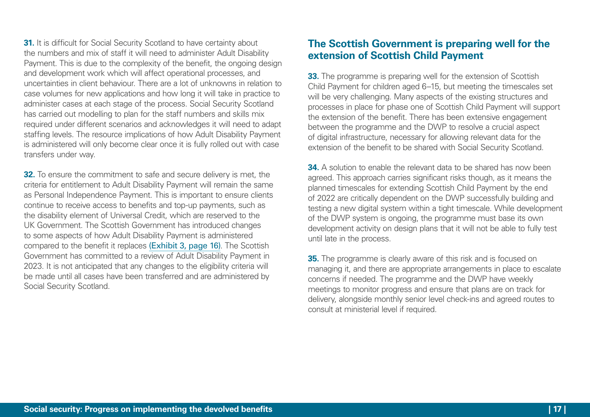**31.** It is difficult for Social Security Scotland to have certainty about the numbers and mix of staff it will need to administer Adult Disability Payment. This is due to the complexity of the benefit, the ongoing design and development work which will affect operational processes, and uncertainties in client behaviour. There are a lot of unknowns in relation to case volumes for new applications and how long it will take in practice to administer cases at each stage of the process. Social Security Scotland has carried out modelling to plan for the staff numbers and skills mix required under different scenarios and acknowledges it will need to adapt staffing levels. The resource implications of how Adult Disability Payment is administered will only become clear once it is fully rolled out with case transfers under way.

**32.** To ensure the commitment to safe and secure delivery is met, the criteria for entitlement to Adult Disability Payment will remain the same as Personal Independence Payment. This is important to ensure clients continue to receive access to benefits and top-up payments, such as the disability element of Universal Credit, which are reserved to the UK Government. The Scottish Government has introduced changes to some aspects of how Adult Disability Payment is administered compared to the benefit it replaces [\(Exhibit 3, page 16\)](#page-15-0). The Scottish Government has committed to a review of Adult Disability Payment in 2023. It is not anticipated that any changes to the eligibility criteria will be made until all cases have been transferred and are administered by Social Security Scotland.

#### **The Scottish Government is preparing well for the extension of Scottish Child Payment**

**33.** The programme is preparing well for the extension of Scottish Child Payment for children aged 6–15, but meeting the timescales set will be very challenging. Many aspects of the existing structures and processes in place for phase one of Scottish Child Payment will support the extension of the benefit. There has been extensive engagement between the programme and the DWP to resolve a crucial aspect of digital infrastructure, necessary for allowing relevant data for the extension of the benefit to be shared with Social Security Scotland.

**34.** A solution to enable the relevant data to be shared has now been agreed. This approach carries significant risks though, as it means the planned timescales for extending Scottish Child Payment by the end of 2022 are critically dependent on the DWP successfully building and testing a new digital system within a tight timescale. While development of the DWP system is ongoing, the programme must base its own development activity on design plans that it will not be able to fully test until late in the process.

**35.** The programme is clearly aware of this risk and is focused on managing it, and there are appropriate arrangements in place to escalate concerns if needed. The programme and the DWP have weekly meetings to monitor progress and ensure that plans are on track for delivery, alongside monthly senior level check-ins and agreed routes to consult at ministerial level if required.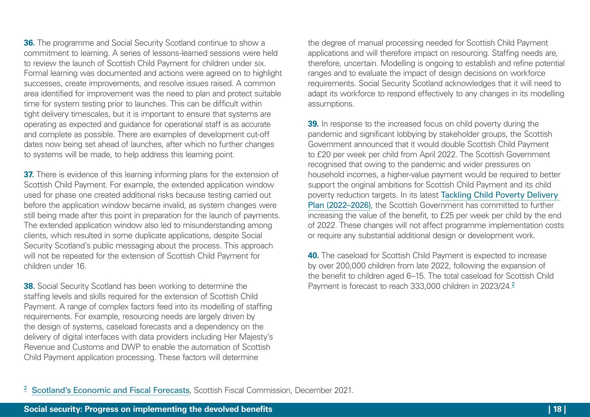**36.** The programme and Social Security Scotland continue to show a commitment to learning. A series of lessons-learned sessions were held to review the launch of Scottish Child Payment for children under six. Formal learning was documented and actions were agreed on to highlight successes, create improvements, and resolve issues raised. A common area identified for improvement was the need to plan and protect suitable time for system testing prior to launches. This can be difficult within tight delivery timescales, but it is important to ensure that systems are operating as expected and guidance for operational staff is as accurate and complete as possible. There are examples of development cut-off dates now being set ahead of launches, after which no further changes to systems will be made, to help address this learning point.

**37.** There is evidence of this learning informing plans for the extension of Scottish Child Payment. For example, the extended application window used for phase one created additional risks because testing carried out before the application window became invalid, as system changes were still being made after this point in preparation for the launch of payments. The extended application window also led to misunderstanding among clients, which resulted in some duplicate applications, despite Social Security Scotland's public messaging about the process. This approach will not be repeated for the extension of Scottish Child Payment for children under 16.

**38.** Social Security Scotland has been working to determine the staffing levels and skills required for the extension of Scottish Child Payment. A range of complex factors feed into its modelling of staffing requirements. For example, resourcing needs are largely driven by the design of systems, caseload forecasts and a dependency on the delivery of digital interfaces with data providers including Her Majesty's Revenue and Customs and DWP to enable the automation of Scottish Child Payment application processing. These factors will determine

the degree of manual processing needed for Scottish Child Payment applications and will therefore impact on resourcing. Staffing needs are, therefore, uncertain. Modelling is ongoing to establish and refine potential ranges and to evaluate the impact of design decisions on workforce requirements. Social Security Scotland acknowledges that it will need to adapt its workforce to respond effectively to any changes in its modelling assumptions.

**39.** In response to the increased focus on child poverty during the pandemic and significant lobbying by stakeholder groups, the Scottish Government announced that it would double Scottish Child Payment to £20 per week per child from April 2022. The Scottish Government recognised that owing to the pandemic and wider pressures on household incomes, a higher-value payment would be required to better support the original ambitions for Scottish Child Payment and its child poverty reduction targets. In its latest [Tackling Child Poverty Delivery](https://www.gov.scot/publications/best-start-bright-futures-tackling-child-poverty-delivery-plan-2022-26/documents/)  [Plan \(2022–2026\)](https://www.gov.scot/publications/best-start-bright-futures-tackling-child-poverty-delivery-plan-2022-26/documents/), the Scottish Government has committed to further increasing the value of the benefit, to £25 per week per child by the end of 2022. These changes will not affect programme implementation costs or require any substantial additional design or development work.

**40.** The caseload for Scottish Child Payment is expected to increase by over 200,000 children from late 2022, following the expansion of the benefit to children aged 6–15. The total caseload for Scottish Child Payment is forecast to reach 333,000 children in 2023/24.<sup>2</sup>

<sup>2</sup> [Scotland's Economic and Fiscal Forecasts](https://www.fiscalcommission.scot/publications/scotlands-economic-and-fiscal-forecasts-december-2021/), Scottish Fiscal Commission, December 2021.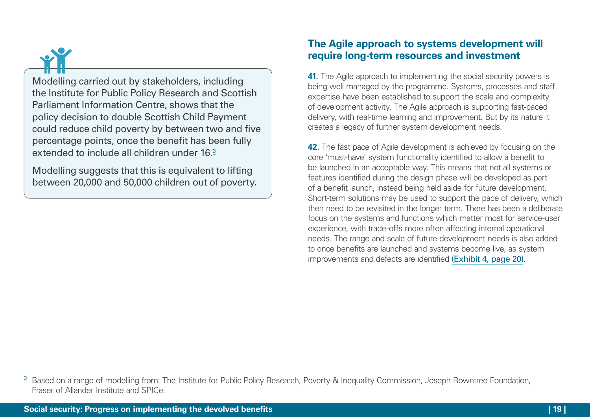Modelling carried out by stakeholders, including the Institute for Public Policy Research and Scottish Parliament Information Centre, shows that the policy decision to double Scottish Child Payment could reduce child poverty by between two and five percentage points, once the benefit has been fully extended to include all children under 16.3

Modelling suggests that this is equivalent to lifting between 20,000 and 50,000 children out of poverty.

#### **The Agile approach to systems development will require long-term resources and investment**

**41.** The Agile approach to implementing the social security powers is being well managed by the programme. Systems, processes and staff expertise have been established to support the scale and complexity of development activity. The Agile approach is supporting fast-paced delivery, with real-time learning and improvement. But by its nature it creates a legacy of further system development needs.

**42.** The fast pace of Agile development is achieved by focusing on the core 'must-have' system functionality identified to allow a benefit to be launched in an acceptable way. This means that not all systems or features identified during the design phase will be developed as part of a benefit launch, instead being held aside for future development. Short-term solutions may be used to support the pace of delivery, which then need to be revisited in the longer term. There has been a deliberate focus on the systems and functions which matter most for service-user experience, with trade-offs more often affecting internal operational needs. The range and scale of future development needs is also added to once benefits are launched and systems become live, as system improvements and defects are identified [\(Exhibit 4, page 20\)](#page-19-0).

<sup>&</sup>lt;sup>3</sup> Based on a range of modelling from: The Institute for Public Policy Research, Poverty & Inequality Commission, Joseph Rowntree Foundation, Fraser of Allander Institute and SPICe.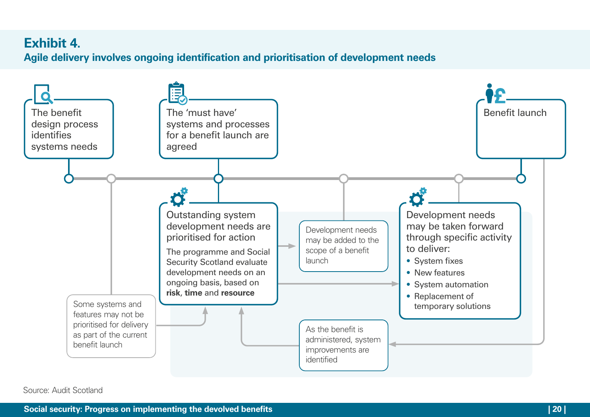### <span id="page-19-0"></span>**Exhibit 4.**

**Agile delivery involves ongoing identification and prioritisation of development needs**



Source: Audit Scotland

**Social security: Progress on implementing the devolved benefits | 20 |**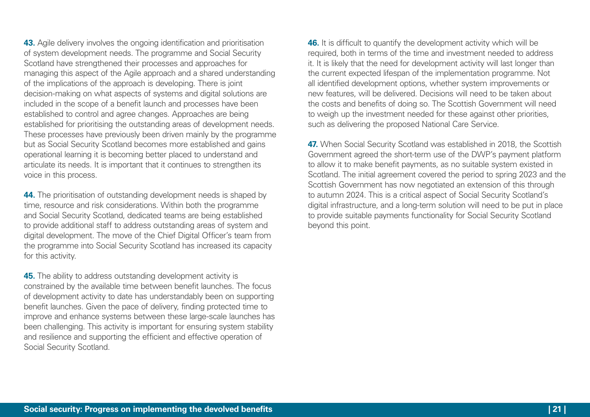**43.** Agile delivery involves the ongoing identification and prioritisation of system development needs. The programme and Social Security Scotland have strengthened their processes and approaches for managing this aspect of the Agile approach and a shared understanding of the implications of the approach is developing. There is joint decision-making on what aspects of systems and digital solutions are included in the scope of a benefit launch and processes have been established to control and agree changes. Approaches are being established for prioritising the outstanding areas of development needs. These processes have previously been driven mainly by the programme but as Social Security Scotland becomes more established and gains operational learning it is becoming better placed to understand and articulate its needs. It is important that it continues to strengthen its voice in this process.

**44.** The prioritisation of outstanding development needs is shaped by time, resource and risk considerations. Within both the programme and Social Security Scotland, dedicated teams are being established to provide additional staff to address outstanding areas of system and digital development. The move of the Chief Digital Officer's team from the programme into Social Security Scotland has increased its capacity for this activity.

**45.** The ability to address outstanding development activity is constrained by the available time between benefit launches. The focus of development activity to date has understandably been on supporting benefit launches. Given the pace of delivery, finding protected time to improve and enhance systems between these large-scale launches has been challenging. This activity is important for ensuring system stability and resilience and supporting the efficient and effective operation of Social Security Scotland.

**46.** It is difficult to quantify the development activity which will be required, both in terms of the time and investment needed to address it. It is likely that the need for development activity will last longer than the current expected lifespan of the implementation programme. Not all identified development options, whether system improvements or new features, will be delivered. Decisions will need to be taken about the costs and benefits of doing so. The Scottish Government will need to weigh up the investment needed for these against other priorities, such as delivering the proposed National Care Service.

**47.** When Social Security Scotland was established in 2018, the Scottish Government agreed the short-term use of the DWP's payment platform to allow it to make benefit payments, as no suitable system existed in Scotland. The initial agreement covered the period to spring 2023 and the Scottish Government has now negotiated an extension of this through to autumn 2024. This is a critical aspect of Social Security Scotland's digital infrastructure, and a long-term solution will need to be put in place to provide suitable payments functionality for Social Security Scotland beyond this point.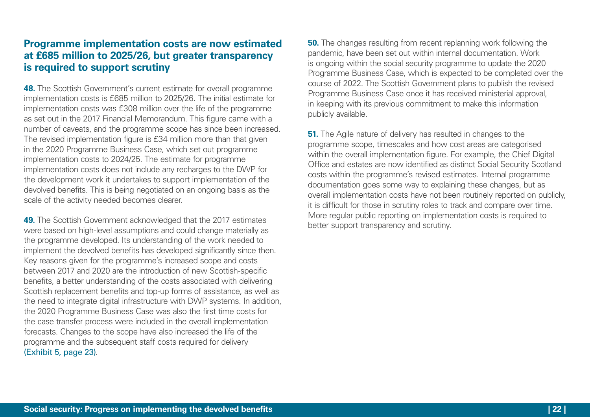#### **Programme implementation costs are now estimated at £685 million to 2025/26, but greater transparency is required to support scrutiny**

**48.** The Scottish Government's current estimate for overall programme implementation costs is £685 million to 2025/26. The initial estimate for implementation costs was £308 million over the life of the programme as set out in the 2017 Financial Memorandum. This figure came with a number of caveats, and the programme scope has since been increased. The revised implementation figure is £34 million more than that given in the 2020 Programme Business Case, which set out programme implementation costs to 2024/25. The estimate for programme implementation costs does not include any recharges to the DWP for the development work it undertakes to support implementation of the devolved benefits. This is being negotiated on an ongoing basis as the scale of the activity needed becomes clearer.

**49.** The Scottish Government acknowledged that the 2017 estimates were based on high-level assumptions and could change materially as the programme developed. Its understanding of the work needed to implement the devolved benefits has developed significantly since then. Key reasons given for the programme's increased scope and costs between 2017 and 2020 are the introduction of new Scottish-specific benefits, a better understanding of the costs associated with delivering Scottish replacement benefits and top-up forms of assistance, as well as the need to integrate digital infrastructure with DWP systems. In addition, the 2020 Programme Business Case was also the first time costs for the case transfer process were included in the overall implementation forecasts. Changes to the scope have also increased the life of the programme and the subsequent staff costs required for delivery [\(Exhibit 5, page 23\)](#page-22-0).

**50.** The changes resulting from recent replanning work following the pandemic, have been set out within internal documentation. Work is ongoing within the social security programme to update the 2020 Programme Business Case, which is expected to be completed over the course of 2022. The Scottish Government plans to publish the revised Programme Business Case once it has received ministerial approval, in keeping with its previous commitment to make this information publicly available.

**51.** The Agile nature of delivery has resulted in changes to the programme scope, timescales and how cost areas are categorised within the overall implementation figure. For example, the Chief Digital Office and estates are now identified as distinct Social Security Scotland costs within the programme's revised estimates. Internal programme documentation goes some way to explaining these changes, but as overall implementation costs have not been routinely reported on publicly, it is difficult for those in scrutiny roles to track and compare over time. More regular public reporting on implementation costs is required to better support transparency and scrutiny.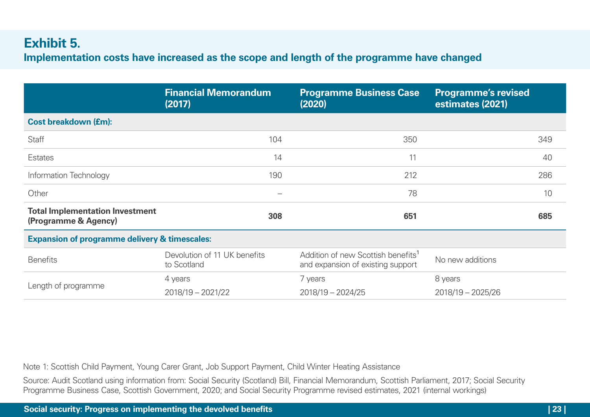### <span id="page-22-0"></span>**Exhibit 5.**

**Implementation costs have increased as the scope and length of the programme have changed** 

|                                                                | <b>Financial Memorandum</b><br>(2017)       | <b>Programme Business Case</b><br>(2020)                                            | <b>Programme's revised</b><br>estimates (2021) |
|----------------------------------------------------------------|---------------------------------------------|-------------------------------------------------------------------------------------|------------------------------------------------|
| <b>Cost breakdown (£m):</b>                                    |                                             |                                                                                     |                                                |
| <b>Staff</b>                                                   | 104                                         | 350                                                                                 | 349                                            |
| Estates                                                        | 14                                          | 11                                                                                  | 40                                             |
| Information Technology                                         | 190                                         | 212                                                                                 | 286                                            |
| Other                                                          |                                             | 78                                                                                  | 10                                             |
| <b>Total Implementation Investment</b><br>(Programme & Agency) | 308                                         | 651                                                                                 | 685                                            |
| <b>Expansion of programme delivery &amp; timescales:</b>       |                                             |                                                                                     |                                                |
| <b>Benefits</b>                                                | Devolution of 11 UK benefits<br>to Scotland | Addition of new Scottish benefits <sup>1</sup><br>and expansion of existing support | No new additions                               |
| Length of programme                                            | 4 years                                     | 7 years                                                                             | 8 years                                        |
|                                                                | $2018/19 - 2021/22$                         | $2018/19 - 2024/25$                                                                 | $2018/19 - 2025/26$                            |

Note 1: Scottish Child Payment, Young Carer Grant, Job Support Payment, Child Winter Heating Assistance

Source: Audit Scotland using information from: Social Security (Scotland) Bill, Financial Memorandum, Scottish Parliament, 2017; Social Security Programme Business Case, Scottish Government, 2020; and Social Security Programme revised estimates, 2021 (internal workings)

**Social security: Progress on implementing the devolved benefits | 23 |**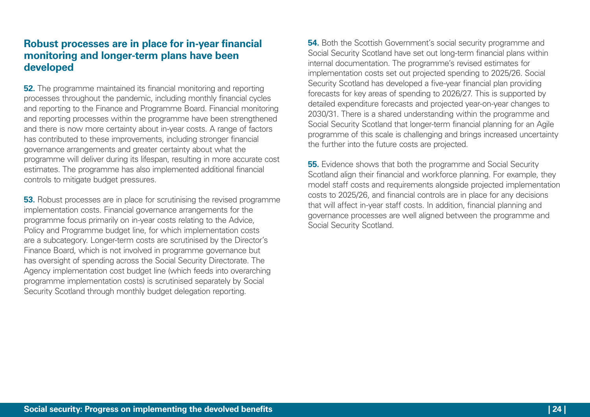#### **Robust processes are in place for in-year financial monitoring and longer-term plans have been developed**

**52.** The programme maintained its financial monitoring and reporting processes throughout the pandemic, including monthly financial cycles and reporting to the Finance and Programme Board. Financial monitoring and reporting processes within the programme have been strengthened and there is now more certainty about in-year costs. A range of factors has contributed to these improvements, including stronger financial governance arrangements and greater certainty about what the programme will deliver during its lifespan, resulting in more accurate cost estimates. The programme has also implemented additional financial controls to mitigate budget pressures.

**53.** Robust processes are in place for scrutinising the revised programme implementation costs. Financial governance arrangements for the programme focus primarily on in-year costs relating to the Advice, Policy and Programme budget line, for which implementation costs are a subcategory. Longer-term costs are scrutinised by the Director's Finance Board, which is not involved in programme governance but has oversight of spending across the Social Security Directorate. The Agency implementation cost budget line (which feeds into overarching programme implementation costs) is scrutinised separately by Social Security Scotland through monthly budget delegation reporting.

**54.** Both the Scottish Government's social security programme and Social Security Scotland have set out long-term financial plans within internal documentation. The programme's revised estimates for implementation costs set out projected spending to 2025/26. Social Security Scotland has developed a five-year financial plan providing forecasts for key areas of spending to 2026/27. This is supported by detailed expenditure forecasts and projected year-on-year changes to 2030/31. There is a shared understanding within the programme and Social Security Scotland that longer-term financial planning for an Agile programme of this scale is challenging and brings increased uncertainty the further into the future costs are projected.

**55.** Evidence shows that both the programme and Social Security Scotland align their financial and workforce planning. For example, they model staff costs and requirements alongside projected implementation costs to 2025/26, and financial controls are in place for any decisions that will affect in-year staff costs. In addition, financial planning and governance processes are well aligned between the programme and Social Security Scotland.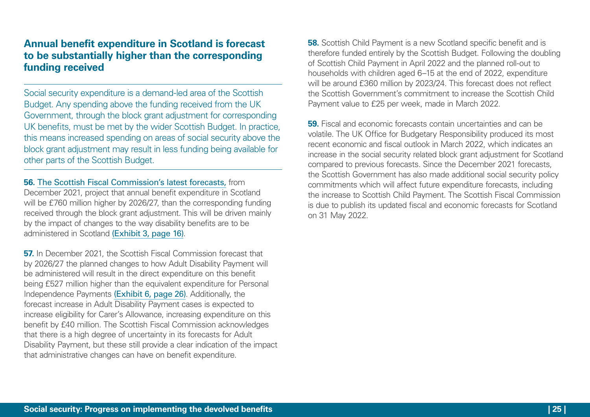#### **Annual benefit expenditure in Scotland is forecast to be substantially higher than the corresponding funding received**

Social security expenditure is a demand-led area of the Scottish Budget. Any spending above the funding received from the UK Government, through the block grant adjustment for corresponding UK benefits, must be met by the wider Scottish Budget. In practice, this means increased spending on areas of social security above the block grant adjustment may result in less funding being available for other parts of the Scottish Budget.

**56.** [The Scottish Fiscal Commission's latest forecasts,](https://www.fiscalcommission.scot/publications/scotlands-economic-and-fiscal-forecasts-december-2021/) from December 2021, project that annual benefit expenditure in Scotland will be £760 million higher by 2026/27, than the corresponding funding received through the block grant adjustment. This will be driven mainly by the impact of changes to the way disability benefits are to be administered in Scotland [\(Exhibit 3, page 16\)](#page-15-0).

**57.** In December 2021, the Scottish Fiscal Commission forecast that by 2026/27 the planned changes to how Adult Disability Payment will be administered will result in the direct expenditure on this benefit being £527 million higher than the equivalent expenditure for Personal Independence Payments [\(Exhibit 6, page 26\)](#page-25-0). Additionally, the forecast increase in Adult Disability Payment cases is expected to increase eligibility for Carer's Allowance, increasing expenditure on this benefit by £40 million. The Scottish Fiscal Commission acknowledges that there is a high degree of uncertainty in its forecasts for Adult Disability Payment, but these still provide a clear indication of the impact that administrative changes can have on benefit expenditure.

**58.** Scottish Child Payment is a new Scotland specific benefit and is therefore funded entirely by the Scottish Budget. Following the doubling of Scottish Child Payment in April 2022 and the planned roll-out to households with children aged 6–15 at the end of 2022, expenditure will be around £360 million by 2023/24. This forecast does not reflect the Scottish Government's commitment to increase the Scottish Child Payment value to £25 per week, made in March 2022.

**59.** Fiscal and economic forecasts contain uncertainties and can be volatile. The UK Office for Budgetary Responsibility produced its most recent economic and fiscal outlook in March 2022, which indicates an increase in the social security related block grant adjustment for Scotland compared to previous forecasts. Since the December 2021 forecasts, the Scottish Government has also made additional social security policy commitments which will affect future expenditure forecasts, including the increase to Scottish Child Payment. The Scottish Fiscal Commission is due to publish its updated fiscal and economic forecasts for Scotland on 31 May 2022.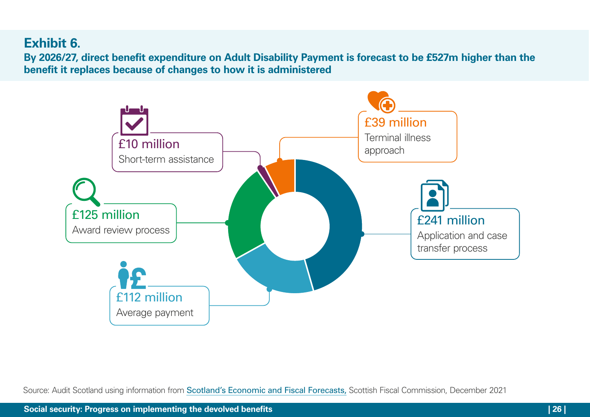# <span id="page-25-0"></span>**Exhibit 6.**

**By 2026/27, direct benefit expenditure on Adult Disability Payment is forecast to be £527m higher than the benefit it replaces because of changes to how it is administered**



Source: Audit Scotland using information from [Scotland's Economic and Fiscal Forecasts,](https://www.fiscalcommission.scot/publications/scotlands-economic-and-fiscal-forecasts-december-2021/) Scottish Fiscal Commission, December 2021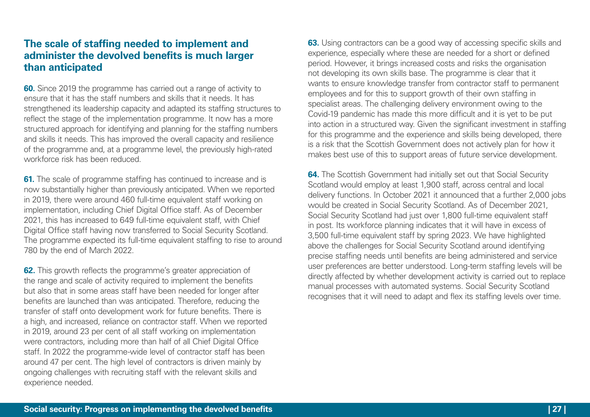#### **The scale of staffing needed to implement and administer the devolved benefits is much larger than anticipated**

**60.** Since 2019 the programme has carried out a range of activity to ensure that it has the staff numbers and skills that it needs. It has strengthened its leadership capacity and adapted its staffing structures to reflect the stage of the implementation programme. It now has a more structured approach for identifying and planning for the staffing numbers and skills it needs. This has improved the overall capacity and resilience of the programme and, at a programme level, the previously high-rated workforce risk has been reduced.

**61.** The scale of programme staffing has continued to increase and is now substantially higher than previously anticipated. When we reported in 2019, there were around 460 full-time equivalent staff working on implementation, including Chief Digital Office staff. As of December 2021, this has increased to 649 full-time equivalent staff, with Chief Digital Office staff having now transferred to Social Security Scotland. The programme expected its full-time equivalent staffing to rise to around 780 by the end of March 2022.

**62.** This growth reflects the programme's greater appreciation of the range and scale of activity required to implement the benefits but also that in some areas staff have been needed for longer after benefits are launched than was anticipated. Therefore, reducing the transfer of staff onto development work for future benefits. There is a high, and increased, reliance on contractor staff. When we reported in 2019, around 23 per cent of all staff working on implementation were contractors, including more than half of all Chief Digital Office staff. In 2022 the programme-wide level of contractor staff has been around 47 per cent. The high level of contractors is driven mainly by ongoing challenges with recruiting staff with the relevant skills and experience needed.

**63.** Using contractors can be a good way of accessing specific skills and experience, especially where these are needed for a short or defined period. However, it brings increased costs and risks the organisation not developing its own skills base. The programme is clear that it wants to ensure knowledge transfer from contractor staff to permanent employees and for this to support growth of their own staffing in specialist areas. The challenging delivery environment owing to the Covid‑19 pandemic has made this more difficult and it is yet to be put into action in a structured way. Given the significant investment in staffing for this programme and the experience and skills being developed, there is a risk that the Scottish Government does not actively plan for how it makes best use of this to support areas of future service development.

**64.** The Scottish Government had initially set out that Social Security Scotland would employ at least 1,900 staff, across central and local delivery functions. In October 2021 it announced that a further 2,000 jobs would be created in Social Security Scotland. As of December 2021, Social Security Scotland had just over 1,800 full-time equivalent staff in post. Its workforce planning indicates that it will have in excess of 3,500 full-time equivalent staff by spring 2023. We have highlighted above the challenges for Social Security Scotland around identifying precise staffing needs until benefits are being administered and service user preferences are better understood. Long-term staffing levels will be directly affected by whether development activity is carried out to replace manual processes with automated systems. Social Security Scotland recognises that it will need to adapt and flex its staffing levels over time.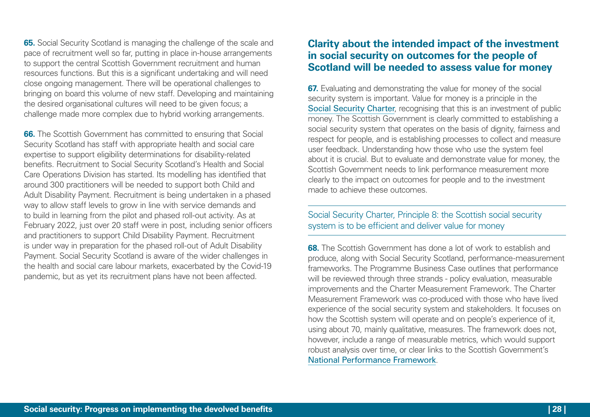**65.** Social Security Scotland is managing the challenge of the scale and pace of recruitment well so far, putting in place in-house arrangements to support the central Scottish Government recruitment and human resources functions. But this is a significant undertaking and will need close ongoing management. There will be operational challenges to bringing on board this volume of new staff. Developing and maintaining the desired organisational cultures will need to be given focus; a challenge made more complex due to hybrid working arrangements.

**66.** The Scottish Government has committed to ensuring that Social Security Scotland has staff with appropriate health and social care expertise to support eligibility determinations for disability-related benefits. Recruitment to Social Security Scotland's Health and Social Care Operations Division has started. Its modelling has identified that around 300 practitioners will be needed to support both Child and Adult Disability Payment. Recruitment is being undertaken in a phased way to allow staff levels to grow in line with service demands and to build in learning from the pilot and phased roll-out activity. As at February 2022, just over 20 staff were in post, including senior officers and practitioners to support Child Disability Payment. Recruitment is under way in preparation for the phased roll-out of Adult Disability Payment. Social Security Scotland is aware of the wider challenges in the health and social care labour markets, exacerbated by the Covid-19 pandemic, but as yet its recruitment plans have not been affected.

#### **Clarity about the intended impact of the investment in social security on outcomes for the people of Scotland will be needed to assess value for money**

**67.** Evaluating and demonstrating the value for money of the social security system is important. Value for money is a principle in the [Social Security Charter](https://www.socialsecurity.gov.scot/asset-storage/production/downloads/Our-Charter_1.pdf), recognising that this is an investment of public money. The Scottish Government is clearly committed to establishing a social security system that operates on the basis of dignity, fairness and respect for people, and is establishing processes to collect and measure user feedback. Understanding how those who use the system feel about it is crucial. But to evaluate and demonstrate value for money, the Scottish Government needs to link performance measurement more clearly to the impact on outcomes for people and to the investment made to achieve these outcomes.

#### Social Security Charter, Principle 8: the Scottish social security system is to be efficient and deliver value for money

**68.** The Scottish Government has done a lot of work to establish and produce, along with Social Security Scotland, performance-measurement frameworks. The Programme Business Case outlines that performance will be reviewed through three strands - policy evaluation, measurable improvements and the Charter Measurement Framework. The Charter Measurement Framework was co-produced with those who have lived experience of the social security system and stakeholders. It focuses on how the Scottish system will operate and on people's experience of it, using about 70, mainly qualitative, measures. The framework does not, however, include a range of measurable metrics, which would support robust analysis over time, or clear links to the Scottish Government's [National Performance Framework](https://nationalperformance.gov.scot/).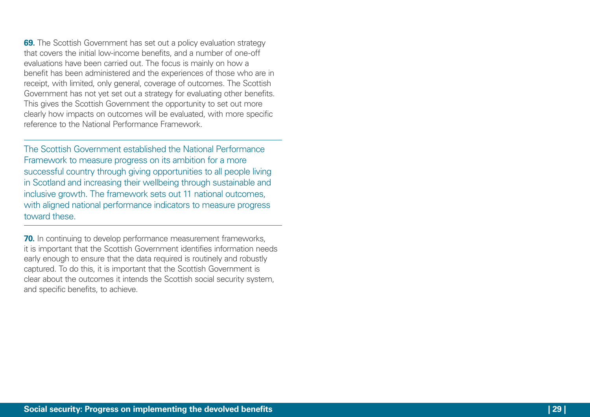**69.** The Scottish Government has set out a policy evaluation strategy that covers the initial low-income benefits, and a number of one‑off evaluations have been carried out. The focus is mainly on how a benefit has been administered and the experiences of those who are in receipt, with limited, only general, coverage of outcomes. The Scottish Government has not yet set out a strategy for evaluating other benefits. This gives the Scottish Government the opportunity to set out more clearly how impacts on outcomes will be evaluated, with more specific reference to the National Performance Framework.

The Scottish Government established the National Performance Framework to measure progress on its ambition for a more successful country through giving opportunities to all people living in Scotland and increasing their wellbeing through sustainable and inclusive growth. The framework sets out 11 national outcomes, with aligned national performance indicators to measure progress toward these.

**70.** In continuing to develop performance measurement frameworks, it is important that the Scottish Government identifies information needs early enough to ensure that the data required is routinely and robustly captured. To do this, it is important that the Scottish Government is clear about the outcomes it intends the Scottish social security system, and specific benefits, to achieve.